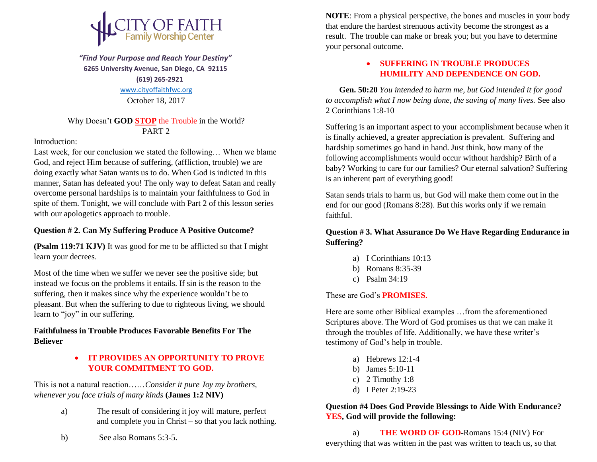

 *"Find Your Purpose and Reach Your Destiny"*  **6265 University Avenue, San Diego, CA 92115 (619) 265-2921** [www.cityoffaithfwc.org](http://www.cityoffaithfwc.org/) October 18, 2017

#### Why Doesn't **GOD STOP** the Trouble in the World? PART 2

#### Introduction:

Last week, for our conclusion we stated the following… When we blame God, and reject Him because of suffering, (affliction, trouble) we are doing exactly what Satan wants us to do. When God is indicted in this manner, Satan has defeated you! The only way to defeat Satan and really overcome personal hardships is to maintain your faithfulness to God in spite of them. Tonight, we will conclude with Part 2 of this lesson series with our apologetics approach to trouble.

#### **Question # 2. Can My Suffering Produce A Positive Outcome?**

**(Psalm 119:71 KJV)** It was good for me to be afflicted so that I might learn your decrees.

Most of the time when we suffer we never see the positive side; but instead we focus on the problems it entails. If sin is the reason to the suffering, then it makes since why the experience wouldn't be to pleasant. But when the suffering to due to righteous living, we should learn to "joy" in our suffering.

## **Faithfulness in Trouble Produces Favorable Benefits For The Believer**

# **IT PROVIDES AN OPPORTUNITY TO PROVE YOUR COMMITMENT TO GOD.**

This is not a natural reaction……*Consider it pure Joy my brothers, whenever you face trials of many kinds* **(James 1:2 NIV)**

- a) The result of considering it joy will mature, perfect and complete you in Christ – so that you lack nothing.
- b) See also Romans 5:3-5.

**NOTE**: From a physical perspective, the bones and muscles in your body that endure the hardest strenuous activity become the strongest as a result. The trouble can make or break you; but you have to determine your personal outcome.

## **SUFFERING IN TROUBLE PRODUCES HUMILITY AND DEPENDENCE ON GOD.**

**Gen. 50:20** *You intended to harm me, but God intended it for good to accomplish what I now being done, the saving of many lives.* See also 2 Corinthians 1:8-10

Suffering is an important aspect to your accomplishment because when it is finally achieved, a greater appreciation is prevalent. Suffering and hardship sometimes go hand in hand. Just think, how many of the following accomplishments would occur without hardship? Birth of a baby? Working to care for our families? Our eternal salvation? Suffering is an inherent part of everything good!

Satan sends trials to harm us, but God will make them come out in the end for our good (Romans 8:28). But this works only if we remain faithful.

## **Question # 3. What Assurance Do We Have Regarding Endurance in Suffering?**

- a) I Corinthians 10:13
- b) Romans 8:35-39
- c) Psalm 34:19

#### These are God's **PROMISES.**

Here are some other Biblical examples …from the aforementioned Scriptures above. The Word of God promises us that we can make it through the troubles of life. Additionally, we have these writer's testimony of God's help in trouble.

- a) Hebrews 12:1-4
- b) James 5:10-11
- c) 2 Timothy 1:8
- d) I Peter 2:19-23

**Question #4 Does God Provide Blessings to Aide With Endurance? YES, God will provide the following:**

a) **THE WORD OF GOD**-Romans 15:4 (NIV) For everything that was written in the past was written to teach us, so that